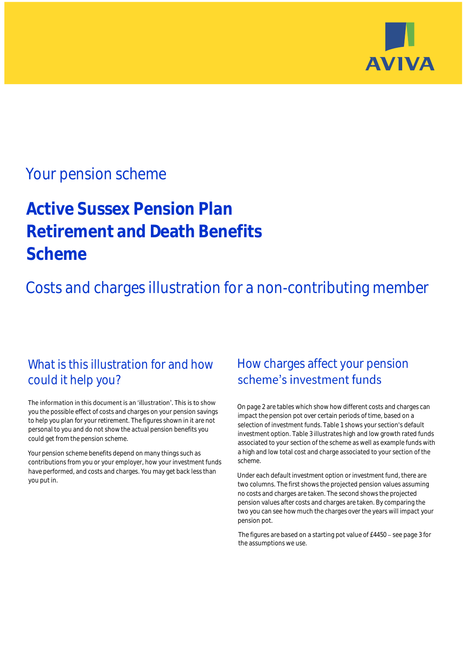

## Your pension scheme

# **Active Sussex Pension Plan Retirement and Death Benefits Scheme**

Costs and charges illustration for a non-contributing member

### What is this illustration for and how could it help you?

#### The information in this document is an 'illustration'. This is to show you the possible effect of costs and charges on your pension savings to help you plan for your retirement. The figures shown in it are not personal to you and do not show the actual pension benefits you could get from the pension scheme.

Your pension scheme benefits depend on many things such as contributions from you or your employer, how your investment funds have performed, and costs and charges. You may get back less than you put in.

### How charges affect your pension scheme's investment funds

On page 2 are tables which show how different costs and charges can impact the pension pot over certain periods of time, based on a selection of investment funds. Table 1 shows your section's default investment option. Table 3 illustrates high and low growth rated funds associated to your section of the scheme as well as example funds with a high and low total cost and charge associated to your section of the scheme.

Under each default investment option or investment fund, there are two columns. The first shows the projected pension values assuming no costs and charges are taken. The second shows the projected pension values after costs and charges are taken. By comparing the two you can see how much the charges over the years will impact your pension pot.

The figures are based on a starting pot value of  $£4450 -$  see page 3 for the assumptions we use.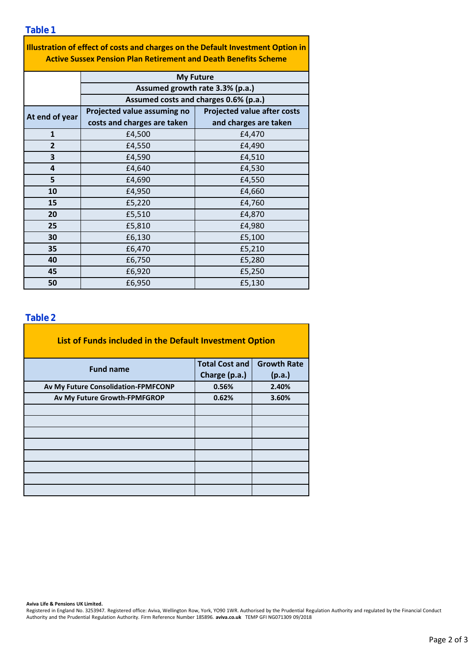**Table 1**

| Illustration of effect of costs and charges on the Default Investment Option in<br><b>Active Sussex Pension Plan Retirement and Death Benefits Scheme</b> |                                       |                                    |  |  |  |  |  |  |
|-----------------------------------------------------------------------------------------------------------------------------------------------------------|---------------------------------------|------------------------------------|--|--|--|--|--|--|
|                                                                                                                                                           | <b>My Future</b>                      |                                    |  |  |  |  |  |  |
|                                                                                                                                                           |                                       | Assumed growth rate 3.3% (p.a.)    |  |  |  |  |  |  |
|                                                                                                                                                           | Assumed costs and charges 0.6% (p.a.) |                                    |  |  |  |  |  |  |
| At end of year                                                                                                                                            | Projected value assuming no           | <b>Projected value after costs</b> |  |  |  |  |  |  |
|                                                                                                                                                           | costs and charges are taken           | and charges are taken              |  |  |  |  |  |  |
| $\mathbf{1}$                                                                                                                                              | £4,500                                | £4,470                             |  |  |  |  |  |  |
| $\overline{2}$                                                                                                                                            | £4,550                                | £4,490                             |  |  |  |  |  |  |
| 3                                                                                                                                                         | £4,590                                | £4,510                             |  |  |  |  |  |  |
| 4                                                                                                                                                         | £4,640                                | £4,530                             |  |  |  |  |  |  |
| 5                                                                                                                                                         | £4,690                                | £4,550                             |  |  |  |  |  |  |
| 10                                                                                                                                                        | £4,950                                | £4,660                             |  |  |  |  |  |  |
| 15                                                                                                                                                        | £5,220                                | £4,760                             |  |  |  |  |  |  |
| 20                                                                                                                                                        | £5,510                                | £4,870                             |  |  |  |  |  |  |
| 25                                                                                                                                                        | £5,810                                | £4,980                             |  |  |  |  |  |  |

£6,130 £6,470 £6,750 £6,920 £6,950

### **Table 2**

**30 35**

**40 45 50**

| List of Funds included in the Default Investment Option |                       |                    |
|---------------------------------------------------------|-----------------------|--------------------|
| <b>Fund name</b>                                        | <b>Total Cost and</b> | <b>Growth Rate</b> |
|                                                         | Charge (p.a.)         | (p.a.)             |
| Av My Future Consolidation-FPMFCONP                     | 0.56%                 | 2.40%              |
| Av My Future Growth-FPMFGROP                            | 0.62%                 | 3.60%              |
|                                                         |                       |                    |
|                                                         |                       |                    |
|                                                         |                       |                    |
|                                                         |                       |                    |
|                                                         |                       |                    |
|                                                         |                       |                    |
|                                                         |                       |                    |
|                                                         |                       |                    |

**Aviva Life & Pensions UK Limited.**

Registered in England No. 3253947. Registered office: Aviva, Wellington Row, York, YO90 1WR. Authorised by the Prudential Regulation Authority and regulated by the Financial Conduct Authority and the Prudential Regulation Authority. Firm Reference Number 185896. **aviva.co.uk** TEMP GFI NG071309 09/2018

£5,100 £5,210

£5,280 £5,250 £5,130